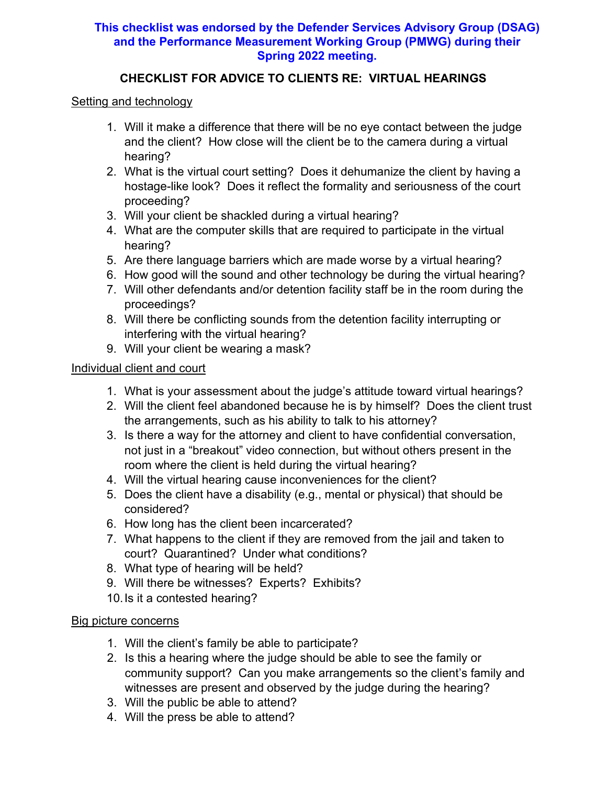# **This checklist was endorsed by the Defender Services Advisory Group (DSAG) and the Performance Measurement Working Group (PMWG) during their Spring 2022 meeting.**

### **CHECKLIST FOR ADVICE TO CLIENTS RE: VIRTUAL HEARINGS**

#### Setting and technology

- 1. Will it make a difference that there will be no eye contact between the judge and the client? How close will the client be to the camera during a virtual hearing?
- 2. What is the virtual court setting? Does it dehumanize the client by having a hostage-like look? Does it reflect the formality and seriousness of the court proceeding?
- 3. Will your client be shackled during a virtual hearing?
- 4. What are the computer skills that are required to participate in the virtual hearing?
- 5. Are there language barriers which are made worse by a virtual hearing?
- 6. How good will the sound and other technology be during the virtual hearing?
- 7. Will other defendants and/or detention facility staff be in the room during the proceedings?
- 8. Will there be conflicting sounds from the detention facility interrupting or interfering with the virtual hearing?
- 9. Will your client be wearing a mask?

### Individual client and court

- 1. What is your assessment about the judge's attitude toward virtual hearings?
- 2. Will the client feel abandoned because he is by himself? Does the client trust the arrangements, such as his ability to talk to his attorney?
- 3. Is there a way for the attorney and client to have confidential conversation, not just in a "breakout" video connection, but without others present in the room where the client is held during the virtual hearing?
- 4. Will the virtual hearing cause inconveniences for the client?
- 5. Does the client have a disability (e.g., mental or physical) that should be considered?
- 6. How long has the client been incarcerated?
- 7. What happens to the client if they are removed from the jail and taken to court? Quarantined? Under what conditions?
- 8. What type of hearing will be held?
- 9. Will there be witnesses? Experts? Exhibits?
- 10.Is it a contested hearing?

#### Big picture concerns

- 1. Will the client's family be able to participate?
- 2. Is this a hearing where the judge should be able to see the family or community support? Can you make arrangements so the client's family and witnesses are present and observed by the judge during the hearing?
- 3. Will the public be able to attend?
- 4. Will the press be able to attend?